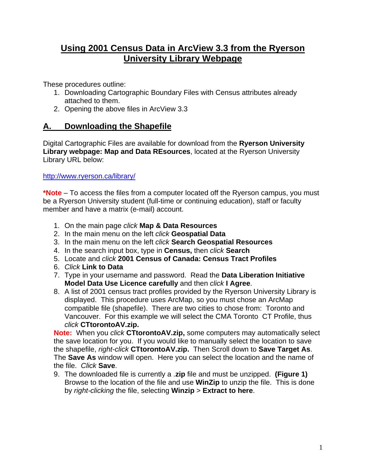## **Using 2001 Census Data in ArcView 3.3 from the Ryerson University Library Webpage**

These procedures outline:

- 1. Downloading Cartographic Boundary Files with Census attributes already attached to them.
- 2. Opening the above files in ArcView 3.3

## **A. Downloading the Shapefile**

Digital Cartographic Files are available for download from the **Ryerson University Library webpage: Map and Data REsources**, located at the Ryerson University Library URL below:

[http://www.ryerson.ca/library/](http://0-www.chass.utoronto.ca.innopac.lib.ryerson.ca/datalib/cc01/geospat01.htm)

**\*Note** – To access the files from a computer located off the Ryerson campus, you must be a Ryerson University student (full-time or continuing education), staff or faculty member and have a matrix (e-mail) account.

- 1. On the main page *click* **Map & Data Resources**
- 2. In the main menu on the left *click* **Geospatial Data**
- 3. In the main menu on the left *click* **Search Geospatial Resources**
- 4. In the search input box, type in **Census,** then *click* **Search**
- 5. Locate and *click* **2001 Census of Canada: Census Tract Profiles**
- 6. *Click* **Link to Data**
- 7. Type in your username and password. Read the **Data Liberation Initiative Model Data Use Licence carefully** and then *click* **I Agree**.
- 8. A list of 2001 census tract profiles provided by the Ryerson University Library is displayed. This procedure uses ArcMap, so you must chose an ArcMap compatible file (shapefile). There are two cities to chose from: Toronto and Vancouver. For this example we will select the CMA Toronto CT Profile, thus *click* **CTtorontoAV.zip.**

**Note:** When you *click* **CTtorontoAV.zip,** some computers may automatically select the save location for you. If you would like to manually select the location to save the shapefile, *right-click* **CTtorontoAV.zip.** Then Scroll down to **Save Target As**. The **Save As** window will open. Here you can select the location and the name of the file. *Click* **Save**.

9. The downloaded file is currently a .**zip** file and must be unzipped. **(Figure 1)**  Browse to the location of the file and use **WinZip** to unzip the file. This is done by *right-clicking* the file, selecting **Winzip** > **Extract to here**.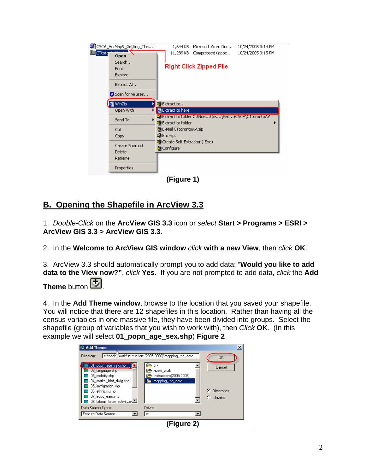

**(Figure 1)** 

## **B. Opening the Shapefile in ArcView 3.3**

1. *Double-Click* on the **ArcView GIS 3.3** icon or *select* **Start > Programs > ESRI > ArcView GIS 3.3 > ArcView GIS 3.3**.

2. In the **Welcome to ArcView GIS window** *click* **with a new View**, then *click* **OK**.

3. ArcView 3.3 should automatically prompt you to add data: "**Would you like to add data to the View now?"**, *click* **Yes**. If you are not prompted to add data, *click* the **Add** 

Theme button  $\boxed{\textbf{t}}$ 

4. In the **Add Theme window**, browse to the location that you saved your shapefile. You will notice that there are 12 shapefiles in this location. Rather than having all the census variables in one massive file, they have been divided into groups. Select the shapefile (group of variables that you wish to work with), then *Click* **OK**. (In this example we will select **01\_popn\_age\_sex.shp**) **Figure 2** 

| <b>Add Theme</b>                                                                     |                                                                              | $\vert x \vert$     |
|--------------------------------------------------------------------------------------|------------------------------------------------------------------------------|---------------------|
| Directory:<br>01_popn_age_sex.shp<br>02 language.shp                                 | c:\noels_\work\instructions(2005-2006)\mapping_the_data<br>c:۱<br>noels_work | <b>OK</b><br>Cancel |
| 03_mobility.shp<br>04 marital hhd dwlg.shp<br>05 immigration.shp<br>06 ethnicity.shp | instructions(2005-2006)<br>mapping the data                                  | G<br>Directories    |
| 07_educ_earn.shp<br>08 labour force activity she                                     |                                                                              | Libraries           |
| Data Source Types:<br>Feature Data Source                                            | Drives:<br>C.                                                                |                     |
|                                                                                      | (Figure 2)                                                                   |                     |